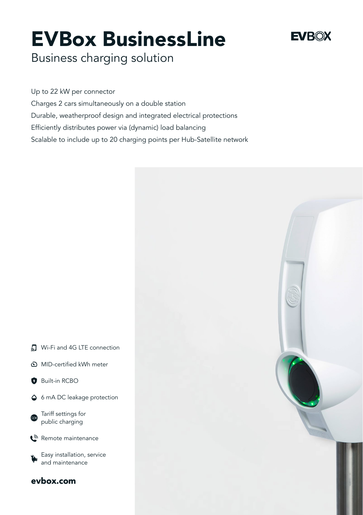# EVBox BusinessLine

# **EVROX**

Business charging solution

[evbox.com](http://evbox.com)

MID-certified kWh meter

**O** Built-in RCBO

Tariff settings for public charging Remote maintenance

> Easy installation, service and maintenance

Up to 22 kW per connector Charges 2 cars simultaneously on a double station Durable, weatherproof design and integrated electrical protections Efficiently distributes power via (dynamic) load balancing Scalable to include up to 20 charging points per Hub-Satellite network